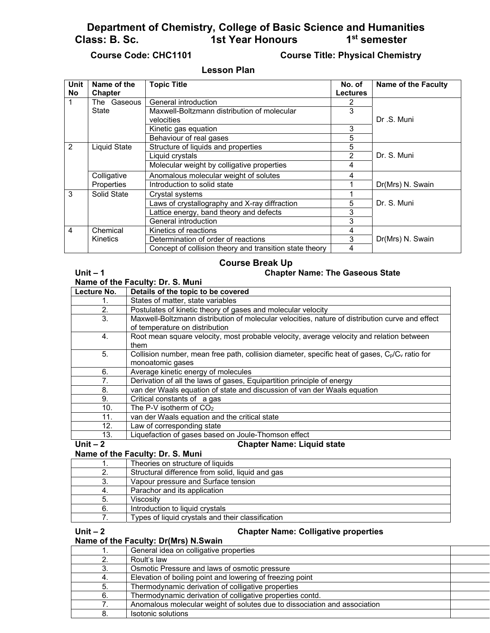**Department of Chemistry, College of Basic Science and Humanities 1st Year Honours** 

# **Course Code: CHC1101 Course Title: Physical Chemistry**

## **Lesson Plan**

| <b>Unit</b>    | Name of the    | <b>Topic Title</b>                                      | No. of          | <b>Name of the Faculty</b> |
|----------------|----------------|---------------------------------------------------------|-----------------|----------------------------|
| <b>No</b>      | <b>Chapter</b> |                                                         | <b>Lectures</b> |                            |
| 1              | The Gaseous    | General introduction                                    | 2               |                            |
|                | State          | Maxwell-Boltzmann distribution of molecular             | 3               |                            |
|                |                | velocities                                              |                 | Dr.S. Muni                 |
|                |                | Kinetic gas equation                                    | 3               |                            |
|                |                | Behaviour of real gases                                 | 5               |                            |
| 2              | Liquid State   | Structure of liquids and properties                     | 5               |                            |
|                |                | Liquid crystals                                         | 2               | Dr. S. Muni                |
|                |                | Molecular weight by colligative properties              | 4               |                            |
|                | Colligative    | Anomalous molecular weight of solutes                   | 4               |                            |
|                | Properties     | Introduction to solid state                             | 1               | Dr(Mrs) N. Swain           |
| 3              | Solid State    | Crystal systems                                         |                 |                            |
|                |                | Laws of crystallography and X-ray diffraction           | 5               | Dr. S. Muni                |
|                |                | Lattice energy, band theory and defects                 | 3               |                            |
|                |                | General introduction                                    | 3               |                            |
| $\overline{4}$ | Chemical       | Kinetics of reactions                                   | 4               |                            |
|                | Kinetics       | Determination of order of reactions                     | 3               | Dr(Mrs) N. Swain           |
|                |                | Concept of collision theory and transition state theory | 4               |                            |

## **Course Break Up**

### **Unit – 1 Chapter Name: The Gaseous State**

**Name of the Faculty: Dr. S. Muni**

| Lecture No.    | Details of the topic to be covered                                                                |
|----------------|---------------------------------------------------------------------------------------------------|
| 1.             | States of matter, state variables                                                                 |
| 2.             | Postulates of kinetic theory of gases and molecular velocity                                      |
| 3.             | Maxwell-Boltzmann distribution of molecular velocities, nature of distribution curve and effect   |
|                | of temperature on distribution                                                                    |
| 4.             | Root mean square velocity, most probable velocity, average velocity and relation between          |
|                | them                                                                                              |
| 5.             | Collision number, mean free path, collision diameter, specific heat of gases, $C_p/C_v$ ratio for |
|                | monoatomic gases                                                                                  |
| 6.             | Average kinetic energy of molecules                                                               |
| 7 <sub>1</sub> | Derivation of all the laws of gases, Equipartition principle of energy                            |
| 8.             | van der Waals equation of state and discussion of van der Waals equation                          |
| 9.             | Critical constants of a gas                                                                       |
| 10.            | The P-V isotherm of CO <sub>2</sub>                                                               |
| 11.            | van der Waals equation and the critical state                                                     |
| 12.            | Law of corresponding state                                                                        |
| 13.            | Liquefaction of gases based on Joule-Thomson effect                                               |
| Unit $-2$      | <b>Chapter Name: Liquid state</b>                                                                 |

### **Name of the Faculty: Dr. S. Muni**

|    | Theories on structure of liquids                  |
|----|---------------------------------------------------|
|    | Structural difference from solid, liquid and gas  |
| 3. | Vapour pressure and Surface tension               |
|    | Parachor and its application                      |
| 5. | Viscosity                                         |
| 6. | Introduction to liquid crystals                   |
|    | Types of liquid crystals and their classification |

### **Unit – 2 Chapter Name: Colligative properties**

| Name of the Faculty: Dr(Mrs) N.Swain |  |  |  |
|--------------------------------------|--|--|--|
|--------------------------------------|--|--|--|

|    | General idea on colligative properties                                    |  |
|----|---------------------------------------------------------------------------|--|
|    | Roult's law                                                               |  |
|    | Osmotic Pressure and laws of osmotic pressure                             |  |
|    | Elevation of boiling point and lowering of freezing point                 |  |
|    | Thermodynamic derivation of colligative properties                        |  |
| 6. | Thermodynamic derivation of colligative properties contd.                 |  |
|    | Anomalous molecular weight of solutes due to dissociation and association |  |
|    | Isotonic solutions                                                        |  |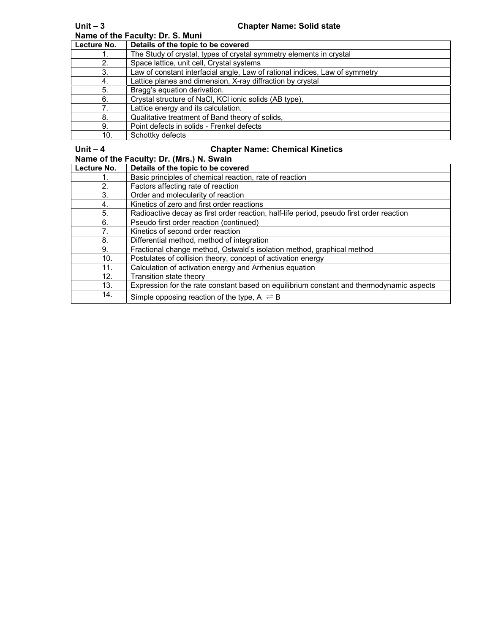| Name of the Faculty: Dr. S. Muni |                                                                             |  |
|----------------------------------|-----------------------------------------------------------------------------|--|
| Lecture No.                      | Details of the topic to be covered                                          |  |
|                                  | The Study of crystal, types of crystal symmetry elements in crystal         |  |
| 2.                               | Space lattice, unit cell, Crystal systems                                   |  |
| 3.                               | Law of constant interfacial angle, Law of rational indices, Law of symmetry |  |
| 4.                               | Lattice planes and dimension, X-ray diffraction by crystal                  |  |
| 5.                               | Bragg's equation derivation.                                                |  |
| 6.                               | Crystal structure of NaCl, KCI ionic solids (AB type),                      |  |
|                                  | Lattice energy and its calculation.                                         |  |
| 8.                               | Qualitative treatment of Band theory of solids,                             |  |
| 9.                               | Point defects in solids - Frenkel defects                                   |  |
| 10.                              | Schottky defects                                                            |  |

# **Unit – 4 Chapter Name: Chemical Kinetics**

**Name of the Faculty: Dr. (Mrs.) N. Swain**

| Lecture No. | Details of the topic to be covered                                                       |
|-------------|------------------------------------------------------------------------------------------|
|             | Basic principles of chemical reaction, rate of reaction                                  |
| 2.          | Factors affecting rate of reaction                                                       |
| 3.          | Order and molecularity of reaction                                                       |
| 4.          | Kinetics of zero and first order reactions                                               |
| 5.          | Radioactive decay as first order reaction, half-life period, pseudo first order reaction |
| 6.          | Pseudo first order reaction (continued)                                                  |
| 7.          | Kinetics of second order reaction                                                        |
| 8.          | Differential method, method of integration                                               |
| 9.          | Fractional change method, Ostwald's isolation method, graphical method                   |
| 10.         | Postulates of collision theory, concept of activation energy                             |
| 11.         | Calculation of activation energy and Arrhenius equation                                  |
| 12.         | Transition state theory                                                                  |
| 13.         | Expression for the rate constant based on equilibrium constant and thermodynamic aspects |
| 14.         | Simple opposing reaction of the type, $A \rightleftharpoons B$                           |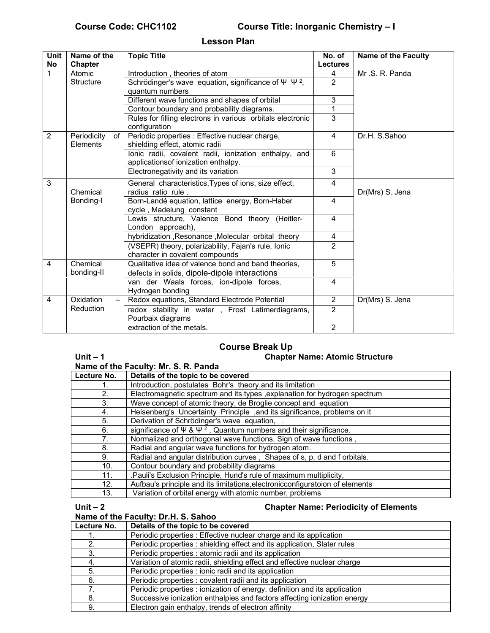# **Course Code: CHC1102 Course Title: Inorganic Chemistry – I**

**Lesson Plan** 

| Unit<br><b>No</b> | Name of the<br><b>Chapter</b> | <b>Topic Title</b>                                                                     | No. of<br><b>Lectures</b> | <b>Name of the Faculty</b> |
|-------------------|-------------------------------|----------------------------------------------------------------------------------------|---------------------------|----------------------------|
| $\mathbf{1}$      | Atomic                        | Introduction, theories of atom                                                         | 4                         | Mr.S.R.Panda               |
|                   | <b>Structure</b>              | Schrödinger's wave equation, significance of $\Psi \Psi^2$ ,                           | $\overline{2}$            |                            |
|                   |                               | quantum numbers                                                                        |                           |                            |
|                   |                               | Different wave functions and shapes of orbital                                         | 3                         |                            |
|                   |                               | Contour boundary and probability diagrams.                                             | 1                         |                            |
|                   |                               | Rules for filling electrons in various orbitals electronic                             | $\overline{3}$            |                            |
|                   |                               | configuration                                                                          |                           |                            |
| 2                 | Periodicity<br>$of \vert$     | Periodic properties : Effective nuclear charge,                                        | 4                         | Dr.H. S.Sahoo              |
|                   | Elements                      | shielding effect, atomic radii                                                         |                           |                            |
|                   |                               | lonic radii, covalent radii, ionization enthalpy, and                                  | 6                         |                            |
|                   |                               | applicationsof ionization enthalpy.                                                    | $\overline{3}$            |                            |
|                   |                               | Electronegativity and its variation                                                    |                           |                            |
| 3                 |                               | General characteristics, Types of ions, size effect,                                   | 4                         |                            |
|                   | Chemical                      | radius ratio rule,                                                                     |                           | Dr(Mrs) S. Jena            |
|                   | Bonding-I                     | Born-Landé equation, lattice energy, Born-Haber                                        | $\overline{4}$            |                            |
|                   |                               | cycle, Madelung constant                                                               |                           |                            |
|                   |                               | Lewis structure, Valence Bond theory (Heitler-                                         | 4                         |                            |
|                   |                               | London approach),                                                                      |                           |                            |
|                   |                               | hybridization, Resonance, Molecular orbital theory                                     | 4                         |                            |
|                   |                               | (VSEPR) theory, polarizability, Fajan's rule, Ionic                                    | $\overline{2}$            |                            |
| 4                 | Chemical                      | character in covalent compounds<br>Qualitative idea of valence bond and band theories, | $\overline{5}$            |                            |
|                   |                               |                                                                                        |                           |                            |
|                   | bonding-II                    | defects in solids, dipole-dipole interactions                                          |                           |                            |
|                   |                               | van der Waals forces, ion-dipole forces,                                               | $\overline{4}$            |                            |
| 4                 | Oxidation                     | Hydrogen bonding<br>Redox equations, Standard Electrode Potential                      | $\overline{2}$            | Dr(Mrs) S. Jena            |
|                   | Reduction                     |                                                                                        | $\overline{2}$            |                            |
|                   |                               | redox stability in water, Frost Latimerdiagrams,<br>Pourbaix diagrams                  |                           |                            |
|                   |                               | extraction of the metals.                                                              | $\overline{2}$            |                            |
|                   |                               |                                                                                        |                           |                            |

# **Course Break Up**

# Unit – 1 Chapter Name: Atomic Structure

| Name of the Faculty: Mr. S. R. Panda |                                                                                        |  |
|--------------------------------------|----------------------------------------------------------------------------------------|--|
| Lecture No.                          | Details of the topic to be covered                                                     |  |
|                                      | Introduction, postulates Bohr's theory, and its limitation                             |  |
| 2.                                   | Electromagnetic spectrum and its types , explanation for hydrogen spectrum             |  |
| 3.                                   | Wave concept of atomic theory, de Broglie concept and equation                         |  |
| 4.                                   | Heisenberg's Uncertainty Principle, and its significance, problems on it               |  |
| 5.                                   | Derivation of Schrödinger's wave equation,                                             |  |
| 6.                                   | significance of $\Psi$ & $\Psi$ <sup>2</sup> , Quantum numbers and their significance. |  |
| 7.                                   | Normalized and orthogonal wave functions. Sign of wave functions,                      |  |
| 8.                                   | Radial and angular wave functions for hydrogen atom.                                   |  |
| 9.                                   | Radial and angular distribution curves, Shapes of s, p, d and f orbitals.              |  |
| 10.                                  | Contour boundary and probability diagrams                                              |  |
| 11.                                  | .Pauli's Exclusion Principle, Hund's rule of maximum multiplicity,                     |  |
| 12.                                  | Aufbau's principle and its limitations, electronic configuratoion of elements          |  |
| 13.                                  | Variation of orbital energy with atomic number, problems                               |  |

## **Unit – 2 Chapter Name: Periodicity of Elements**

# **Name of the Faculty: Dr.H. S. Sahoo**

| Lecture No. | Details of the topic to be covered                                         |
|-------------|----------------------------------------------------------------------------|
|             | Periodic properties : Effective nuclear charge and its application         |
|             | Periodic properties : shielding effect and its application, Slater rules   |
|             | Periodic properties : atomic radii and its application                     |
|             | Variation of atomic radii, shielding effect and effective nuclear charge   |
| 5.          | Periodic properties : ionic radii and its application                      |
| 6.          | Periodic properties : covalent radii and its application                   |
|             | Periodic properties : ionization of energy, definition and its application |
| 8.          | Successive ionization enthalpies and factors affecting ionization energy   |
| 9.          | Electron gain enthalpy, trends of electron affinity                        |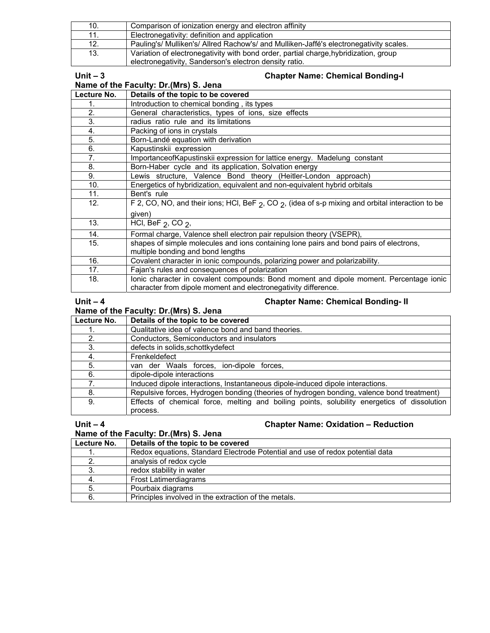| 10. | Comparison of ionization energy and electron affinity                                  |
|-----|----------------------------------------------------------------------------------------|
|     | Electronegativity: definition and application                                          |
| 12. | Pauling's/ Mulliken's/ Allred Rachow's/ and Mulliken-Jaffé's electronegativity scales. |
| 13. | Variation of electronegativity with bond order, partial charge, hybridization, group   |
|     | electronegativity, Sanderson's electron density ratio.                                 |

### **Unit – 3 Chapter Name: Chemical Bonding-I**

| Name of the Faculty: Dr. (Mrs) S. Jena |                                                                                                                                                          |  |
|----------------------------------------|----------------------------------------------------------------------------------------------------------------------------------------------------------|--|
| Lecture No.                            | Details of the topic to be covered                                                                                                                       |  |
| 1.                                     | Introduction to chemical bonding, its types                                                                                                              |  |
| 2.                                     | General characteristics, types of ions, size effects                                                                                                     |  |
| 3.                                     | radius ratio rule and its limitations                                                                                                                    |  |
| 4.                                     | Packing of ions in crystals                                                                                                                              |  |
| 5.                                     | Born-Landé equation with derivation                                                                                                                      |  |
| 6.                                     | Kapustinskii expression                                                                                                                                  |  |
| $7-$                                   | ImportanceofKapustinskii expression for lattice energy. Madelung constant                                                                                |  |
| 8.                                     | Born-Haber cycle and its application, Solvation energy                                                                                                   |  |
| 9.                                     | Lewis structure, Valence Bond theory (Heitler-London approach)                                                                                           |  |
| 10.                                    | Energetics of hybridization, equivalent and non-equivalent hybrid orbitals                                                                               |  |
| 11.                                    | Bent's rule                                                                                                                                              |  |
| 12.                                    | F 2, CO, NO, and their ions; HCl, BeF $_2$ , CO $_2$ , (idea of s-p mixing and orbital interaction to be                                                 |  |
|                                        | given)                                                                                                                                                   |  |
| 13.                                    | HCI, BeF $2$ , CO $2$ ,                                                                                                                                  |  |
| 14.                                    | Formal charge, Valence shell electron pair repulsion theory (VSEPR),                                                                                     |  |
| 15.                                    | shapes of simple molecules and ions containing lone pairs and bond pairs of electrons,<br>multiple bonding and bond lengths                              |  |
| 16.                                    | Covalent character in ionic compounds, polarizing power and polarizability.                                                                              |  |
| 17.                                    | Fajan's rules and consequences of polarization                                                                                                           |  |
| 18.                                    | lonic character in covalent compounds: Bond moment and dipole moment. Percentage ionic<br>character from dipole moment and electronegativity difference. |  |

## Unit – 4 Chapter Name: Chemical Bonding-II

| Name of the Faculty: Dr. (Mrs) S. Jena |                                                                                             |  |
|----------------------------------------|---------------------------------------------------------------------------------------------|--|
| Lecture No.                            | Details of the topic to be covered                                                          |  |
|                                        | Qualitative idea of valence bond and band theories.                                         |  |
| 2.                                     | Conductors, Semiconductors and insulators                                                   |  |
| 3.                                     | defects in solids, schottkydefect                                                           |  |
| 4.                                     | Frenkeldefect                                                                               |  |
| 5.                                     | van der Waals forces, ion-dipole forces,                                                    |  |
| 6.                                     | dipole-dipole interactions                                                                  |  |
|                                        | Induced dipole interactions, Instantaneous dipole-induced dipole interactions.              |  |
| 8.                                     | Repulsive forces, Hydrogen bonding (theories of hydrogen bonding, valence bond treatment)   |  |
| 9.                                     | Effects of chemical force, melting and boiling points, solubility energetics of dissolution |  |
|                                        | process.                                                                                    |  |

## **Unit – 4 Chapter Name: Oxidation – Reduction**

**Name of the Faculty: Dr.(Mrs) S. Jena**

| Lecture No. | Details of the topic to be covered                                            |
|-------------|-------------------------------------------------------------------------------|
|             | Redox equations, Standard Electrode Potential and use of redox potential data |
|             | analysis of redox cycle                                                       |
|             | redox stability in water                                                      |
|             | <b>Frost Latimerdiagrams</b>                                                  |
|             | Pourbaix diagrams                                                             |
|             | Principles involved in the extraction of the metals.                          |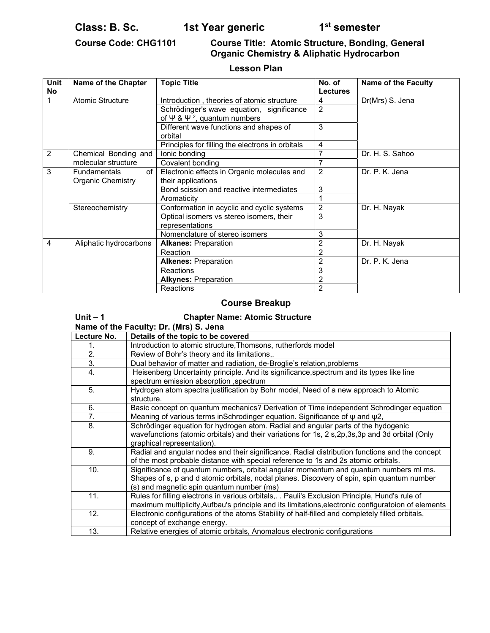Class: B. Sc. **1st Year generic** 1st Semester

## **Course Code: CHG1101 Course Title: Atomic Structure, Bonding, General Organic Chemistry & Aliphatic Hydrocarbon**

# **Lesson Plan**

| <b>Unit</b><br><b>No</b> | Name of the Chapter       | <b>Topic Title</b>                                          | No. of<br><b>Lectures</b> | <b>Name of the Faculty</b> |
|--------------------------|---------------------------|-------------------------------------------------------------|---------------------------|----------------------------|
|                          | <b>Atomic Structure</b>   | Introduction, theories of atomic structure                  | 4                         | Dr(Mrs) S. Jena            |
|                          |                           | Schrödinger's wave equation, significance                   | $\overline{2}$            |                            |
|                          |                           | of $\Psi$ & $\Psi$ <sup>2</sup> , quantum numbers           |                           |                            |
|                          |                           | Different wave functions and shapes of                      | 3                         |                            |
|                          |                           | orbital                                                     |                           |                            |
|                          |                           | Principles for filling the electrons in orbitals            | 4                         |                            |
| $\overline{2}$           | Chemical Bonding and      | lonic bonding                                               | 7                         | Dr. H. S. Sahoo            |
|                          | molecular structure       | Covalent bonding                                            | 7                         |                            |
| 3                        | of<br><b>Fundamentals</b> | Electronic effects in Organic molecules and                 | $\overline{2}$            | Dr. P. K. Jena             |
|                          | Organic Chemistry         | their applications                                          |                           |                            |
|                          |                           | Bond scission and reactive intermediates                    | 3                         |                            |
|                          |                           | Aromaticity                                                 |                           |                            |
|                          | Stereochemistry           | Conformation in acyclic and cyclic systems                  | $\overline{2}$            | Dr. H. Nayak               |
|                          |                           | Optical isomers vs stereo isomers, their<br>representations | 3                         |                            |
|                          |                           | Nomenclature of stereo isomers                              | 3                         |                            |
| 4                        | Aliphatic hydrocarbons    | <b>Alkanes: Preparation</b>                                 | 2                         | Dr. H. Nayak               |
|                          |                           | Reaction                                                    | 2                         |                            |
|                          |                           | <b>Alkenes: Preparation</b>                                 | 2                         | Dr. P. K. Jena             |
|                          |                           | Reactions                                                   | 3                         |                            |
|                          |                           | <b>Alkynes: Preparation</b>                                 | $\overline{c}$            |                            |
|                          |                           | Reactions                                                   | $\overline{2}$            |                            |

## **Course Breakup**

| Unit $-1$                              | <b>Chapter Name: Atomic Structure</b>                                                               |  |
|----------------------------------------|-----------------------------------------------------------------------------------------------------|--|
| Name of the Faculty: Dr. (Mrs) S. Jena |                                                                                                     |  |
| Lecture No.                            | Details of the topic to be covered                                                                  |  |
| 1.                                     | Introduction to atomic structure, Thomsons, rutherfords model                                       |  |
| 2.                                     | Review of Bohr's theory and its limitations,.                                                       |  |
| 3.                                     | Dual behavior of matter and radiation, de-Broglie's relation, problems                              |  |
| 4.                                     | Heisenberg Uncertainty principle. And its significance, spectrum and its types like line            |  |
|                                        | spectrum emission absorption, spectrum                                                              |  |
| 5.                                     | Hydrogen atom spectra justification by Bohr model, Need of a new approach to Atomic                 |  |
|                                        | structure.                                                                                          |  |
| 6.                                     | Basic concept on quantum mechanics? Derivation of Time independent Schrodinger equation             |  |
| 7.                                     | Meaning of various terms in Schrodinger equation. Significance of $\psi$ and $\psi$ 2,              |  |
| 8.                                     | Schrödinger equation for hydrogen atom. Radial and angular parts of the hydogenic                   |  |
|                                        | wavefunctions (atomic orbitals) and their variations for 1s, 2 s, 2p, 3s, 3p and 3d orbital (Only   |  |
|                                        | graphical representation).                                                                          |  |
| 9.                                     | Radial and angular nodes and their significance. Radial distribution functions and the concept      |  |
|                                        | of the most probable distance with special reference to 1s and 2s atomic orbitals.                  |  |
| 10.                                    | Significance of quantum numbers, orbital angular momentum and quantum numbers ml ms.                |  |
|                                        | Shapes of s, p and d atomic orbitals, nodal planes. Discovery of spin, spin quantum number          |  |
|                                        | (s) and magnetic spin quantum number (ms)                                                           |  |
| 11.                                    | Rules for filling electrons in various orbitals,. . Pauli's Exclusion Principle, Hund's rule of     |  |
|                                        | maximum multiplicity, Aufbau's principle and its limitations, electronic configuratoion of elements |  |
| 12.                                    | Electronic configurations of the atoms Stability of half-filled and completely filled orbitals,     |  |
|                                        | concept of exchange energy.                                                                         |  |
| 13.                                    | Relative energies of atomic orbitals, Anomalous electronic configurations                           |  |